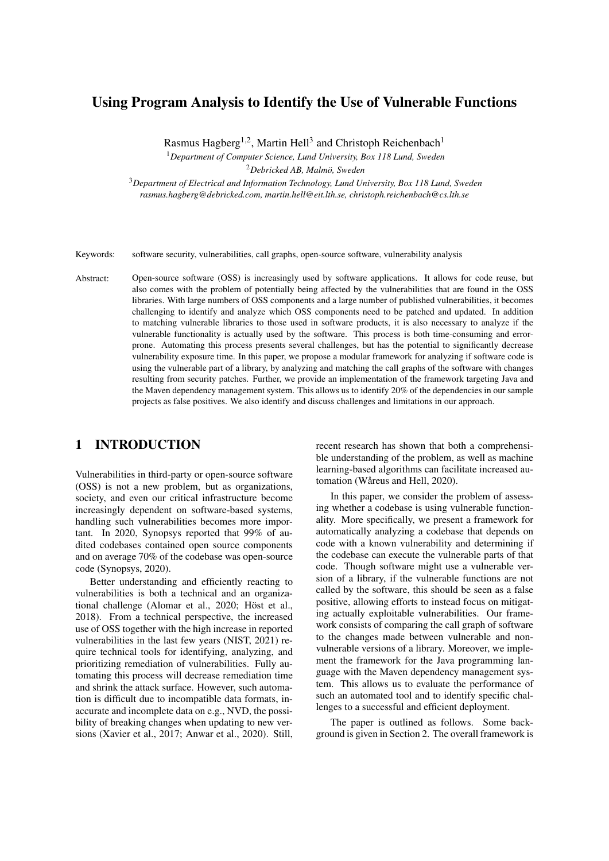# Using Program Analysis to Identify the Use of Vulnerable Functions

Rasmus Hagberg<sup>1,2</sup>, Martin Hell<sup>3</sup> and Christoph Reichenbach<sup>1</sup>

<sup>1</sup>*Department of Computer Science, Lund University, Box 118 Lund, Sweden*

<sup>2</sup>*Debricked AB, Malmo, Sweden ¨*

<sup>3</sup>*Department of Electrical and Information Technology, Lund University, Box 118 Lund, Sweden rasmus.hagberg@debricked.com, martin.hell@eit.lth.se, christoph.reichenbach@cs.lth.se*

Keywords: software security, vulnerabilities, call graphs, open-source software, vulnerability analysis

Abstract: Open-source software (OSS) is increasingly used by software applications. It allows for code reuse, but also comes with the problem of potentially being affected by the vulnerabilities that are found in the OSS libraries. With large numbers of OSS components and a large number of published vulnerabilities, it becomes challenging to identify and analyze which OSS components need to be patched and updated. In addition to matching vulnerable libraries to those used in software products, it is also necessary to analyze if the vulnerable functionality is actually used by the software. This process is both time-consuming and errorprone. Automating this process presents several challenges, but has the potential to significantly decrease vulnerability exposure time. In this paper, we propose a modular framework for analyzing if software code is using the vulnerable part of a library, by analyzing and matching the call graphs of the software with changes resulting from security patches. Further, we provide an implementation of the framework targeting Java and the Maven dependency management system. This allows us to identify 20% of the dependencies in our sample projects as false positives. We also identify and discuss challenges and limitations in our approach.

# 1 INTRODUCTION

Vulnerabilities in third-party or open-source software (OSS) is not a new problem, but as organizations, society, and even our critical infrastructure become increasingly dependent on software-based systems, handling such vulnerabilities becomes more important. In 2020, Synopsys reported that 99% of audited codebases contained open source components and on average 70% of the codebase was open-source code (Synopsys, 2020).

Better understanding and efficiently reacting to vulnerabilities is both a technical and an organizational challenge (Alomar et al., 2020; Höst et al., 2018). From a technical perspective, the increased use of OSS together with the high increase in reported vulnerabilities in the last few years (NIST, 2021) require technical tools for identifying, analyzing, and prioritizing remediation of vulnerabilities. Fully automating this process will decrease remediation time and shrink the attack surface. However, such automation is difficult due to incompatible data formats, inaccurate and incomplete data on e.g., NVD, the possibility of breaking changes when updating to new versions (Xavier et al., 2017; Anwar et al., 2020). Still, recent research has shown that both a comprehensible understanding of the problem, as well as machine learning-based algorithms can facilitate increased automation (Wåreus and Hell, 2020).

In this paper, we consider the problem of assessing whether a codebase is using vulnerable functionality. More specifically, we present a framework for automatically analyzing a codebase that depends on code with a known vulnerability and determining if the codebase can execute the vulnerable parts of that code. Though software might use a vulnerable version of a library, if the vulnerable functions are not called by the software, this should be seen as a false positive, allowing efforts to instead focus on mitigating actually exploitable vulnerabilities. Our framework consists of comparing the call graph of software to the changes made between vulnerable and nonvulnerable versions of a library. Moreover, we implement the framework for the Java programming language with the Maven dependency management system. This allows us to evaluate the performance of such an automated tool and to identify specific challenges to a successful and efficient deployment.

The paper is outlined as follows. Some background is given in Section 2. The overall framework is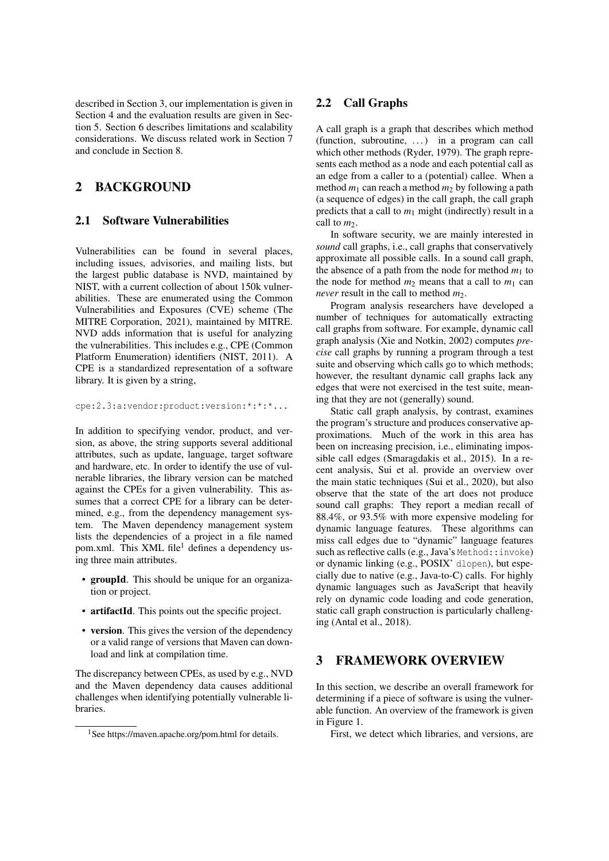described in Section 3, our implementation is given in Section 4 and the evaluation results are given in Section 5. Section 6 describes limitations and scalability considerations. We discuss related work in Section 7 and conclude in Section 8.

# 2 BACKGROUND

#### 2.1 Software Vulnerabilities

Vulnerabilities can be found in several places, including issues, advisories, and mailing lists, but the largest public database is NVD, maintained by NIST, with a current collection of about 150k vulnerabilities. These are enumerated using the Common Vulnerabilities and Exposures (CVE) scheme (The MITRE Corporation, 2021), maintained by MITRE. NVD adds information that is useful for analyzing the vulnerabilities. This includes e.g., CPE (Common Platform Enumeration) identifiers (NIST, 2011). A CPE is a standardized representation of a software library. It is given by a string,

cpe:2.3:a:vendor:product:version:\*:\*:\*...

In addition to specifying vendor, product, and version, as above, the string supports several additional attributes, such as update, language, target software and hardware, etc. In order to identify the use of vulnerable libraries, the library version can be matched against the CPEs for a given vulnerability. This assumes that a correct CPE for a library can be determined, e.g., from the dependency management system. The Maven dependency management system lists the dependencies of a project in a file named pom.xml. This XML file<sup>1</sup> defines a dependency using three main attributes.

- groupId. This should be unique for an organization or project.
- artifactId. This points out the specific project.
- version. This gives the version of the dependency or a valid range of versions that Maven can download and link at compilation time.

The discrepancy between CPEs, as used by e.g., NVD and the Maven dependency data causes additional challenges when identifying potentially vulnerable libraries.

## 2.2 Call Graphs

A call graph is a graph that describes which method (function, subroutine, . . . ) in a program can call which other methods (Ryder, 1979). The graph represents each method as a node and each potential call as an edge from a caller to a (potential) callee. When a method  $m_1$  can reach a method  $m_2$  by following a path (a sequence of edges) in the call graph, the call graph predicts that a call to  $m_1$  might (indirectly) result in a call to *m*<sub>2</sub>.

In software security, we are mainly interested in *sound* call graphs, i.e., call graphs that conservatively approximate all possible calls. In a sound call graph, the absence of a path from the node for method  $m_1$  to the node for method  $m_2$  means that a call to  $m_1$  can *never* result in the call to method *m*2.

Program analysis researchers have developed a number of techniques for automatically extracting call graphs from software. For example, dynamic call graph analysis (Xie and Notkin, 2002) computes *precise* call graphs by running a program through a test suite and observing which calls go to which methods; however, the resultant dynamic call graphs lack any edges that were not exercised in the test suite, meaning that they are not (generally) sound.

Static call graph analysis, by contrast, examines the program's structure and produces conservative approximations. Much of the work in this area has been on increasing precision, i.e., eliminating impossible call edges (Smaragdakis et al., 2015). In a recent analysis, Sui et al. provide an overview over the main static techniques (Sui et al., 2020), but also observe that the state of the art does not produce sound call graphs: They report a median recall of 88.4%, or 93.5% with more expensive modeling for dynamic language features. These algorithms can miss call edges due to "dynamic" language features such as reflective calls (e.g., Java's Method::invoke) or dynamic linking (e.g., POSIX' dlopen), but especially due to native (e.g., Java-to-C) calls. For highly dynamic languages such as JavaScript that heavily rely on dynamic code loading and code generation, static call graph construction is particularly challenging (Antal et al., 2018).

## 3 FRAMEWORK OVERVIEW

In this section, we describe an overall framework for determining if a piece of software is using the vulnerable function. An overview of the framework is given in Figure 1.

First, we detect which libraries, and versions, are

<sup>&</sup>lt;sup>1</sup>See https://maven.apache.org/pom.html for details.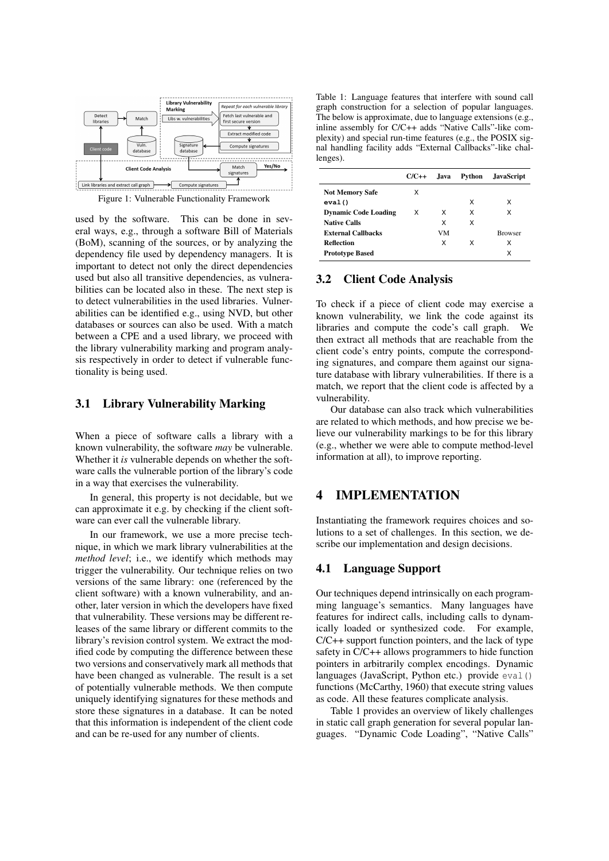

Figure 1: Vulnerable Functionality Framework

used by the software. This can be done in several ways, e.g., through a software Bill of Materials (BoM), scanning of the sources, or by analyzing the dependency file used by dependency managers. It is important to detect not only the direct dependencies used but also all transitive dependencies, as vulnerabilities can be located also in these. The next step is to detect vulnerabilities in the used libraries. Vulnerabilities can be identified e.g., using NVD, but other databases or sources can also be used. With a match between a CPE and a used library, we proceed with the library vulnerability marking and program analysis respectively in order to detect if vulnerable functionality is being used.

#### 3.1 Library Vulnerability Marking

When a piece of software calls a library with a known vulnerability, the software *may* be vulnerable. Whether it *is* vulnerable depends on whether the software calls the vulnerable portion of the library's code in a way that exercises the vulnerability.

In general, this property is not decidable, but we can approximate it e.g. by checking if the client software can ever call the vulnerable library.

In our framework, we use a more precise technique, in which we mark library vulnerabilities at the *method level*; i.e., we identify which methods may trigger the vulnerability. Our technique relies on two versions of the same library: one (referenced by the client software) with a known vulnerability, and another, later version in which the developers have fixed that vulnerability. These versions may be different releases of the same library or different commits to the library's revision control system. We extract the modified code by computing the difference between these two versions and conservatively mark all methods that have been changed as vulnerable. The result is a set of potentially vulnerable methods. We then compute uniquely identifying signatures for these methods and store these signatures in a database. It can be noted that this information is independent of the client code and can be re-used for any number of clients.

Table 1: Language features that interfere with sound call graph construction for a selection of popular languages. The below is approximate, due to language extensions (e.g., inline assembly for C/C++ adds "Native Calls"-like complexity) and special run-time features (e.g., the POSIX signal handling facility adds "External Callbacks"-like challenges).

|                             | $C/C++$ | .Iava | Python | <b>JavaScript</b> |
|-----------------------------|---------|-------|--------|-------------------|
| <b>Not Memory Safe</b>      | x       |       |        |                   |
| eval()                      |         |       | x      | x                 |
| <b>Dynamic Code Loading</b> | X       | x     | x      | x                 |
| <b>Native Calls</b>         |         | x     | x      |                   |
| <b>External Callbacks</b>   |         | VM    |        | <b>Browser</b>    |
| <b>Reflection</b>           |         | x     | X      | x                 |
| <b>Prototype Based</b>      |         |       |        | x                 |

## 3.2 Client Code Analysis

To check if a piece of client code may exercise a known vulnerability, we link the code against its libraries and compute the code's call graph. We then extract all methods that are reachable from the client code's entry points, compute the corresponding signatures, and compare them against our signature database with library vulnerabilities. If there is a match, we report that the client code is affected by a vulnerability.

Our database can also track which vulnerabilities are related to which methods, and how precise we believe our vulnerability markings to be for this library (e.g., whether we were able to compute method-level information at all), to improve reporting.

## 4 IMPLEMENTATION

Instantiating the framework requires choices and solutions to a set of challenges. In this section, we describe our implementation and design decisions.

#### 4.1 Language Support

Our techniques depend intrinsically on each programming language's semantics. Many languages have features for indirect calls, including calls to dynamically loaded or synthesized code. For example, C/C++ support function pointers, and the lack of type safety in C/C++ allows programmers to hide function pointers in arbitrarily complex encodings. Dynamic languages (JavaScript, Python etc.) provide eval () functions (McCarthy, 1960) that execute string values as code. All these features complicate analysis.

Table 1 provides an overview of likely challenges in static call graph generation for several popular languages. "Dynamic Code Loading", "Native Calls"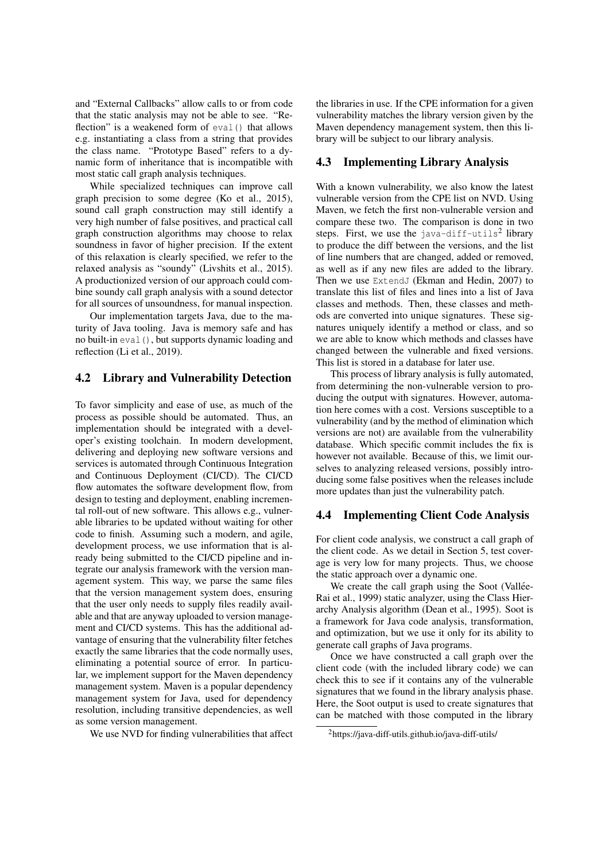and "External Callbacks" allow calls to or from code that the static analysis may not be able to see. "Reflection" is a weakened form of eval () that allows e.g. instantiating a class from a string that provides the class name. "Prototype Based" refers to a dynamic form of inheritance that is incompatible with most static call graph analysis techniques.

While specialized techniques can improve call graph precision to some degree (Ko et al., 2015), sound call graph construction may still identify a very high number of false positives, and practical call graph construction algorithms may choose to relax soundness in favor of higher precision. If the extent of this relaxation is clearly specified, we refer to the relaxed analysis as "soundy" (Livshits et al., 2015). A productionized version of our approach could combine soundy call graph analysis with a sound detector for all sources of unsoundness, for manual inspection.

Our implementation targets Java, due to the maturity of Java tooling. Java is memory safe and has no built-in eval(), but supports dynamic loading and reflection (Li et al., 2019).

## 4.2 Library and Vulnerability Detection

To favor simplicity and ease of use, as much of the process as possible should be automated. Thus, an implementation should be integrated with a developer's existing toolchain. In modern development, delivering and deploying new software versions and services is automated through Continuous Integration and Continuous Deployment (CI/CD). The CI/CD flow automates the software development flow, from design to testing and deployment, enabling incremental roll-out of new software. This allows e.g., vulnerable libraries to be updated without waiting for other code to finish. Assuming such a modern, and agile, development process, we use information that is already being submitted to the CI/CD pipeline and integrate our analysis framework with the version management system. This way, we parse the same files that the version management system does, ensuring that the user only needs to supply files readily available and that are anyway uploaded to version management and CI/CD systems. This has the additional advantage of ensuring that the vulnerability filter fetches exactly the same libraries that the code normally uses, eliminating a potential source of error. In particular, we implement support for the Maven dependency management system. Maven is a popular dependency management system for Java, used for dependency resolution, including transitive dependencies, as well as some version management.

We use NVD for finding vulnerabilities that affect

the libraries in use. If the CPE information for a given vulnerability matches the library version given by the Maven dependency management system, then this library will be subject to our library analysis.

#### 4.3 Implementing Library Analysis

With a known vulnerability, we also know the latest vulnerable version from the CPE list on NVD. Using Maven, we fetch the first non-vulnerable version and compare these two. The comparison is done in two steps. First, we use the java-diff-utils<sup>2</sup> library to produce the diff between the versions, and the list of line numbers that are changed, added or removed, as well as if any new files are added to the library. Then we use ExtendJ (Ekman and Hedin, 2007) to translate this list of files and lines into a list of Java classes and methods. Then, these classes and methods are converted into unique signatures. These signatures uniquely identify a method or class, and so we are able to know which methods and classes have changed between the vulnerable and fixed versions. This list is stored in a database for later use.

This process of library analysis is fully automated, from determining the non-vulnerable version to producing the output with signatures. However, automation here comes with a cost. Versions susceptible to a vulnerability (and by the method of elimination which versions are not) are available from the vulnerability database. Which specific commit includes the fix is however not available. Because of this, we limit ourselves to analyzing released versions, possibly introducing some false positives when the releases include more updates than just the vulnerability patch.

#### 4.4 Implementing Client Code Analysis

For client code analysis, we construct a call graph of the client code. As we detail in Section 5, test coverage is very low for many projects. Thus, we choose the static approach over a dynamic one.

We create the call graph using the Soot (Vallée-Rai et al., 1999) static analyzer, using the Class Hierarchy Analysis algorithm (Dean et al., 1995). Soot is a framework for Java code analysis, transformation, and optimization, but we use it only for its ability to generate call graphs of Java programs.

Once we have constructed a call graph over the client code (with the included library code) we can check this to see if it contains any of the vulnerable signatures that we found in the library analysis phase. Here, the Soot output is used to create signatures that can be matched with those computed in the library

<sup>&</sup>lt;sup>2</sup>https://java-diff-utils.github.io/java-diff-utils/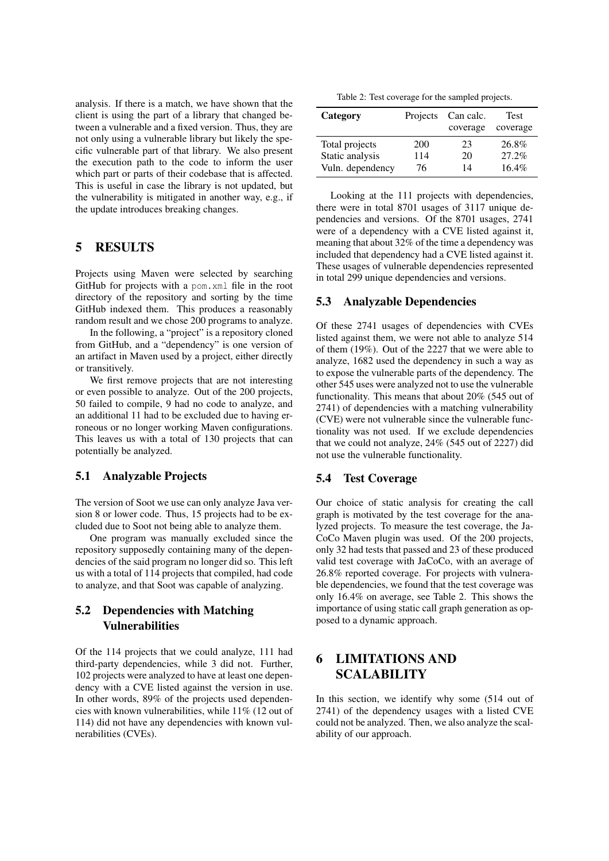analysis. If there is a match, we have shown that the client is using the part of a library that changed between a vulnerable and a fixed version. Thus, they are not only using a vulnerable library but likely the specific vulnerable part of that library. We also present the execution path to the code to inform the user which part or parts of their codebase that is affected. This is useful in case the library is not updated, but the vulnerability is mitigated in another way, e.g., if the update introduces breaking changes.

## 5 RESULTS

Projects using Maven were selected by searching GitHub for projects with a pom.xml file in the root directory of the repository and sorting by the time GitHub indexed them. This produces a reasonably random result and we chose 200 programs to analyze.

In the following, a "project" is a repository cloned from GitHub, and a "dependency" is one version of an artifact in Maven used by a project, either directly or transitively.

We first remove projects that are not interesting or even possible to analyze. Out of the 200 projects, 50 failed to compile, 9 had no code to analyze, and an additional 11 had to be excluded due to having erroneous or no longer working Maven configurations. This leaves us with a total of 130 projects that can potentially be analyzed.

#### 5.1 Analyzable Projects

The version of Soot we use can only analyze Java version 8 or lower code. Thus, 15 projects had to be excluded due to Soot not being able to analyze them.

One program was manually excluded since the repository supposedly containing many of the dependencies of the said program no longer did so. This left us with a total of 114 projects that compiled, had code to analyze, and that Soot was capable of analyzing.

## 5.2 Dependencies with Matching Vulnerabilities

Of the 114 projects that we could analyze, 111 had third-party dependencies, while 3 did not. Further, 102 projects were analyzed to have at least one dependency with a CVE listed against the version in use. In other words, 89% of the projects used dependencies with known vulnerabilities, while 11% (12 out of 114) did not have any dependencies with known vulnerabilities (CVEs).

Table 2: Test coverage for the sampled projects.

| Category         |     | Projects Can calc.<br>coverage | <b>Test</b><br>coverage |
|------------------|-----|--------------------------------|-------------------------|
| Total projects   | 200 | 23                             | 26.8%                   |
| Static analysis  | 114 | 20                             | 27.2%                   |
| Vuln. dependency | 76  | 14                             | $16.4\%$                |

Looking at the 111 projects with dependencies, there were in total 8701 usages of 3117 unique dependencies and versions. Of the 8701 usages, 2741 were of a dependency with a CVE listed against it, meaning that about 32% of the time a dependency was included that dependency had a CVE listed against it. These usages of vulnerable dependencies represented in total 299 unique dependencies and versions.

## 5.3 Analyzable Dependencies

Of these 2741 usages of dependencies with CVEs listed against them, we were not able to analyze 514 of them (19%). Out of the 2227 that we were able to analyze, 1682 used the dependency in such a way as to expose the vulnerable parts of the dependency. The other 545 uses were analyzed not to use the vulnerable functionality. This means that about 20% (545 out of 2741) of dependencies with a matching vulnerability (CVE) were not vulnerable since the vulnerable functionality was not used. If we exclude dependencies that we could not analyze, 24% (545 out of 2227) did not use the vulnerable functionality.

## 5.4 Test Coverage

Our choice of static analysis for creating the call graph is motivated by the test coverage for the analyzed projects. To measure the test coverage, the Ja-CoCo Maven plugin was used. Of the 200 projects, only 32 had tests that passed and 23 of these produced valid test coverage with JaCoCo, with an average of 26.8% reported coverage. For projects with vulnerable dependencies, we found that the test coverage was only 16.4% on average, see Table 2. This shows the importance of using static call graph generation as opposed to a dynamic approach.

# 6 LIMITATIONS AND SCALABILITY

In this section, we identify why some (514 out of 2741) of the dependency usages with a listed CVE could not be analyzed. Then, we also analyze the scalability of our approach.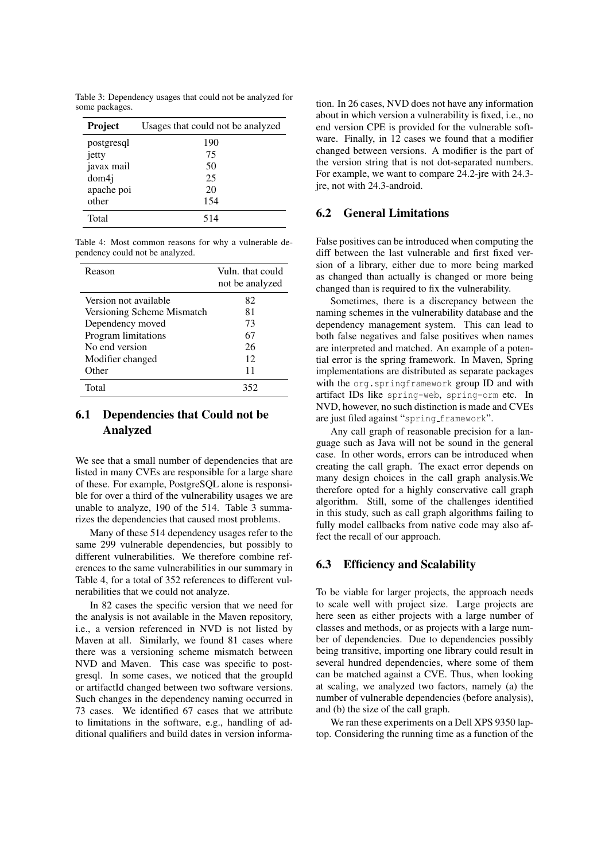Table 3: Dependency usages that could not be analyzed for some packages.

| <b>Project</b> | Usages that could not be analyzed |
|----------------|-----------------------------------|
| postgresql     | 190                               |
| jetty          | 75                                |
| javax mail     | 50                                |
| dom4j          | 25                                |
| apache poi     | 20                                |
| other          | 154                               |
| Total          | 514                               |

Table 4: Most common reasons for why a vulnerable dependency could not be analyzed.

| Reason                     | Vuln, that could<br>not be analyzed |
|----------------------------|-------------------------------------|
| Version not available      | 82                                  |
| Versioning Scheme Mismatch | 81                                  |
| Dependency moved           | 73                                  |
| Program limitations        | 67                                  |
| No end version             | 26                                  |
| Modifier changed           | 12                                  |
| Other                      | 11                                  |
| Total                      | 352                                 |

## 6.1 Dependencies that Could not be Analyzed

We see that a small number of dependencies that are listed in many CVEs are responsible for a large share of these. For example, PostgreSQL alone is responsible for over a third of the vulnerability usages we are unable to analyze, 190 of the 514. Table 3 summarizes the dependencies that caused most problems.

Many of these 514 dependency usages refer to the same 299 vulnerable dependencies, but possibly to different vulnerabilities. We therefore combine references to the same vulnerabilities in our summary in Table 4, for a total of 352 references to different vulnerabilities that we could not analyze.

In 82 cases the specific version that we need for the analysis is not available in the Maven repository, i.e., a version referenced in NVD is not listed by Maven at all. Similarly, we found 81 cases where there was a versioning scheme mismatch between NVD and Maven. This case was specific to postgresql. In some cases, we noticed that the groupId or artifactId changed between two software versions. Such changes in the dependency naming occurred in 73 cases. We identified 67 cases that we attribute to limitations in the software, e.g., handling of additional qualifiers and build dates in version informa-

tion. In 26 cases, NVD does not have any information about in which version a vulnerability is fixed, i.e., no end version CPE is provided for the vulnerable software. Finally, in 12 cases we found that a modifier changed between versions. A modifier is the part of the version string that is not dot-separated numbers. For example, we want to compare 24.2-jre with 24.3 ire, not with 24.3-android.

## 6.2 General Limitations

False positives can be introduced when computing the diff between the last vulnerable and first fixed version of a library, either due to more being marked as changed than actually is changed or more being changed than is required to fix the vulnerability.

Sometimes, there is a discrepancy between the naming schemes in the vulnerability database and the dependency management system. This can lead to both false negatives and false positives when names are interpreted and matched. An example of a potential error is the spring framework. In Maven, Spring implementations are distributed as separate packages with the org.springframework group ID and with artifact IDs like spring-web, spring-orm etc. In NVD, however, no such distinction is made and CVEs are just filed against "spring\_framework".

Any call graph of reasonable precision for a language such as Java will not be sound in the general case. In other words, errors can be introduced when creating the call graph. The exact error depends on many design choices in the call graph analysis.We therefore opted for a highly conservative call graph algorithm. Still, some of the challenges identified in this study, such as call graph algorithms failing to fully model callbacks from native code may also affect the recall of our approach.

#### 6.3 Efficiency and Scalability

To be viable for larger projects, the approach needs to scale well with project size. Large projects are here seen as either projects with a large number of classes and methods, or as projects with a large number of dependencies. Due to dependencies possibly being transitive, importing one library could result in several hundred dependencies, where some of them can be matched against a CVE. Thus, when looking at scaling, we analyzed two factors, namely (a) the number of vulnerable dependencies (before analysis), and (b) the size of the call graph.

We ran these experiments on a Dell XPS 9350 laptop. Considering the running time as a function of the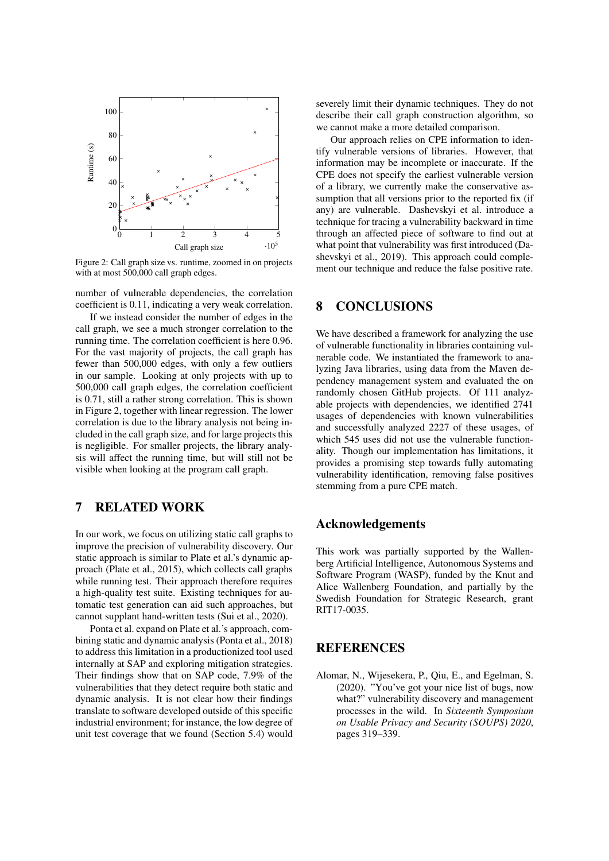

Figure 2: Call graph size vs. runtime, zoomed in on projects with at most 500,000 call graph edges.

number of vulnerable dependencies, the correlation coefficient is 0.11, indicating a very weak correlation.

If we instead consider the number of edges in the call graph, we see a much stronger correlation to the running time. The correlation coefficient is here 0.96. For the vast majority of projects, the call graph has fewer than 500,000 edges, with only a few outliers in our sample. Looking at only projects with up to 500,000 call graph edges, the correlation coefficient is 0.71, still a rather strong correlation. This is shown in Figure 2, together with linear regression. The lower correlation is due to the library analysis not being included in the call graph size, and for large projects this is negligible. For smaller projects, the library analysis will affect the running time, but will still not be visible when looking at the program call graph.

## 7 RELATED WORK

In our work, we focus on utilizing static call graphs to improve the precision of vulnerability discovery. Our static approach is similar to Plate et al.'s dynamic approach (Plate et al., 2015), which collects call graphs while running test. Their approach therefore requires a high-quality test suite. Existing techniques for automatic test generation can aid such approaches, but cannot supplant hand-written tests (Sui et al., 2020).

Ponta et al. expand on Plate et al.'s approach, combining static and dynamic analysis (Ponta et al., 2018) to address this limitation in a productionized tool used internally at SAP and exploring mitigation strategies. Their findings show that on SAP code, 7.9% of the vulnerabilities that they detect require both static and dynamic analysis. It is not clear how their findings translate to software developed outside of this specific industrial environment; for instance, the low degree of unit test coverage that we found (Section 5.4) would severely limit their dynamic techniques. They do not describe their call graph construction algorithm, so we cannot make a more detailed comparison.

Our approach relies on CPE information to identify vulnerable versions of libraries. However, that information may be incomplete or inaccurate. If the CPE does not specify the earliest vulnerable version of a library, we currently make the conservative assumption that all versions prior to the reported fix (if any) are vulnerable. Dashevskyi et al. introduce a technique for tracing a vulnerability backward in time through an affected piece of software to find out at what point that vulnerability was first introduced (Dashevskyi et al., 2019). This approach could complement our technique and reduce the false positive rate.

## 8 CONCLUSIONS

We have described a framework for analyzing the use of vulnerable functionality in libraries containing vulnerable code. We instantiated the framework to analyzing Java libraries, using data from the Maven dependency management system and evaluated the on randomly chosen GitHub projects. Of 111 analyzable projects with dependencies, we identified 2741 usages of dependencies with known vulnerabilities and successfully analyzed 2227 of these usages, of which 545 uses did not use the vulnerable functionality. Though our implementation has limitations, it provides a promising step towards fully automating vulnerability identification, removing false positives stemming from a pure CPE match.

## Acknowledgements

This work was partially supported by the Wallenberg Artificial Intelligence, Autonomous Systems and Software Program (WASP), funded by the Knut and Alice Wallenberg Foundation, and partially by the Swedish Foundation for Strategic Research, grant RIT17-0035.

## **REFERENCES**

Alomar, N., Wijesekera, P., Qiu, E., and Egelman, S. (2020). "You've got your nice list of bugs, now what?" vulnerability discovery and management processes in the wild. In *Sixteenth Symposium on Usable Privacy and Security (SOUPS) 2020*, pages 319–339.